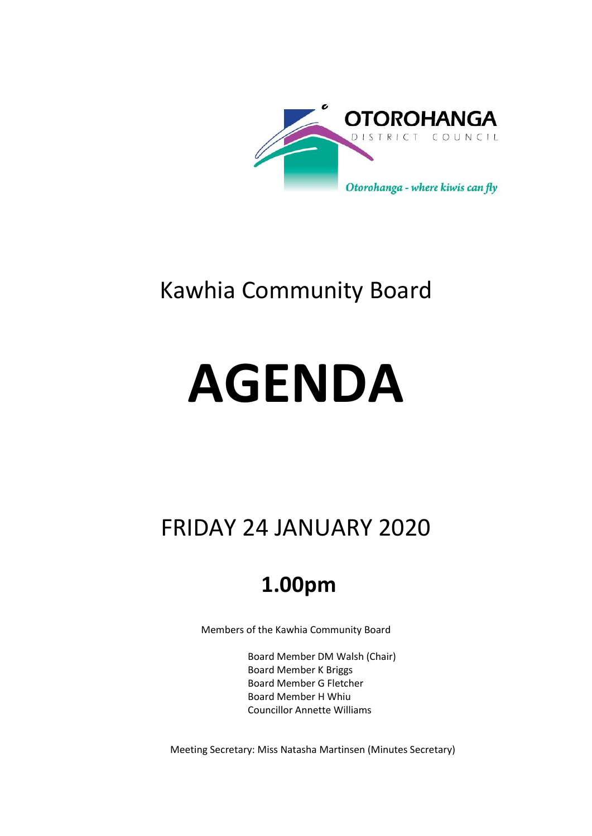

## Kawhia Community Board

# **AGENDA**

# FRIDAY 24 JANUARY 2020

## **1.00pm**

Members of the Kawhia Community Board

Board Member DM Walsh (Chair) Board Member K Briggs Board Member G Fletcher Board Member H Whiu Councillor Annette Williams

Meeting Secretary: Miss Natasha Martinsen (Minutes Secretary)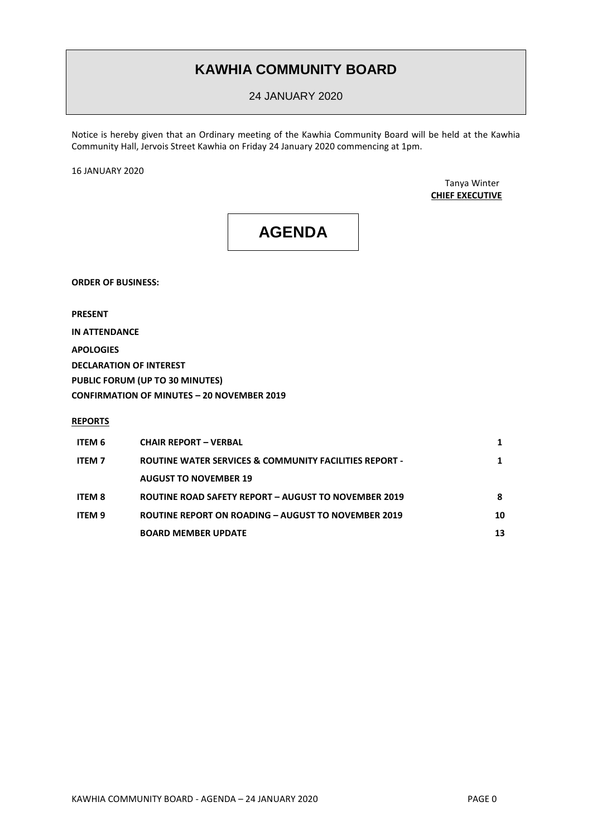### **KAWHIA COMMUNITY BOARD**

24 JANUARY 2020

Notice is hereby given that an Ordinary meeting of the Kawhia Community Board will be held at the Kawhia Community Hall, Jervois Street Kawhia on Friday 24 January 2020 commencing at 1pm.

16 JANUARY 2020

Tanya Winter **CHIEF EXECUTIVE**

## **AGENDA**

**ORDER OF BUSINESS:**

**PRESENT**

**IN ATTENDANCE**

**APOLOGIES DECLARATION OF INTEREST PUBLIC FORUM (UP TO 30 MINUTES) CONFIRMATION OF MINUTES – 20 NOVEMBER 2019**

**REPORTS**

| ITEM 6        | <b>CHAIR REPORT - VERBAL</b>                                      |    |
|---------------|-------------------------------------------------------------------|----|
| <b>ITEM 7</b> | <b>ROUTINE WATER SERVICES &amp; COMMUNITY FACILITIES REPORT -</b> |    |
|               | <b>AUGUST TO NOVEMBER 19</b>                                      |    |
| <b>ITEM 8</b> | ROUTINE ROAD SAFETY REPORT - AUGUST TO NOVEMBER 2019              | 8  |
| ITEM 9        | <b>ROUTINE REPORT ON ROADING - AUGUST TO NOVEMBER 2019</b>        | 10 |
|               | <b>BOARD MEMBER UPDATE</b>                                        | 13 |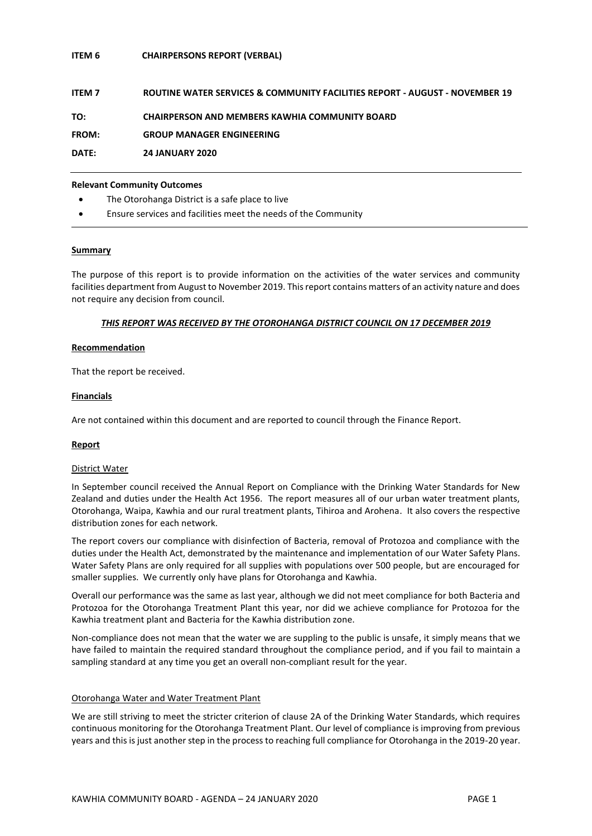#### **ITEM 6 CHAIRPERSONS REPORT (VERBAL)**

| <b>ITEM 7</b> | ROUTINE WATER SERVICES & COMMUNITY FACILITIES REPORT - AUGUST - NOVEMBER 19 |
|---------------|-----------------------------------------------------------------------------|
| TO:           | <b>CHAIRPERSON AND MEMBERS KAWHIA COMMUNITY BOARD</b>                       |
| FROM:         | <b>GROUP MANAGER ENGINEERING</b>                                            |
| DATE:         | <b>24 JANUARY 2020</b>                                                      |

#### **Relevant Community Outcomes**

- The Otorohanga District is a safe place to live
- Ensure services and facilities meet the needs of the Community

#### **Summary**

The purpose of this report is to provide information on the activities of the water services and community facilities department from August to November 2019. This report contains matters of an activity nature and does not require any decision from council.

#### *THIS REPORT WAS RECEIVED BY THE OTOROHANGA DISTRICT COUNCIL ON 17 DECEMBER 2019*

#### **Recommendation**

That the report be received.

#### **Financials**

Are not contained within this document and are reported to council through the Finance Report.

#### **Report**

#### District Water

In September council received the Annual Report on Compliance with the Drinking Water Standards for New Zealand and duties under the Health Act 1956. The report measures all of our urban water treatment plants, Otorohanga, Waipa, Kawhia and our rural treatment plants, Tihiroa and Arohena. It also covers the respective distribution zones for each network.

The report covers our compliance with disinfection of Bacteria, removal of Protozoa and compliance with the duties under the Health Act, demonstrated by the maintenance and implementation of our Water Safety Plans. Water Safety Plans are only required for all supplies with populations over 500 people, but are encouraged for smaller supplies. We currently only have plans for Otorohanga and Kawhia.

Overall our performance was the same as last year, although we did not meet compliance for both Bacteria and Protozoa for the Otorohanga Treatment Plant this year, nor did we achieve compliance for Protozoa for the Kawhia treatment plant and Bacteria for the Kawhia distribution zone.

Non-compliance does not mean that the water we are suppling to the public is unsafe, it simply means that we have failed to maintain the required standard throughout the compliance period, and if you fail to maintain a sampling standard at any time you get an overall non-compliant result for the year.

#### Otorohanga Water and Water Treatment Plant

We are still striving to meet the stricter criterion of clause 2A of the Drinking Water Standards, which requires continuous monitoring for the Otorohanga Treatment Plant. Our level of compliance is improving from previous years and this is just another step in the process to reaching full compliance for Otorohanga in the 2019-20 year.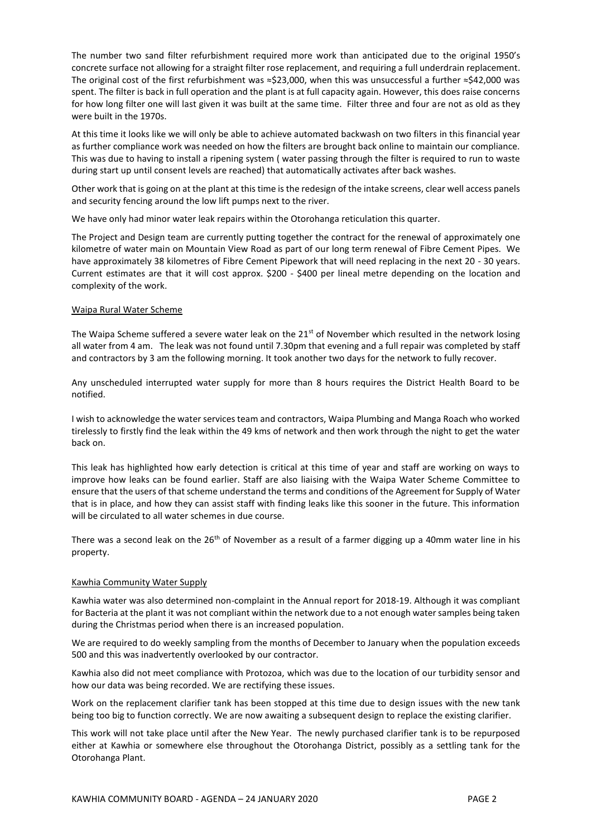The number two sand filter refurbishment required more work than anticipated due to the original 1950's concrete surface not allowing for a straight filter rose replacement, and requiring a full underdrain replacement. The original cost of the first refurbishment was ≈\$23,000, when this was unsuccessful a further ≈\$42,000 was spent. The filter is back in full operation and the plant is at full capacity again. However, this does raise concerns for how long filter one will last given it was built at the same time. Filter three and four are not as old as they were built in the 1970s.

At this time it looks like we will only be able to achieve automated backwash on two filters in this financial year as further compliance work was needed on how the filters are brought back online to maintain our compliance. This was due to having to install a ripening system ( water passing through the filter is required to run to waste during start up until consent levels are reached) that automatically activates after back washes.

Other work that is going on at the plant at this time is the redesign of the intake screens, clear well access panels and security fencing around the low lift pumps next to the river.

We have only had minor water leak repairs within the Otorohanga reticulation this quarter.

The Project and Design team are currently putting together the contract for the renewal of approximately one kilometre of water main on Mountain View Road as part of our long term renewal of Fibre Cement Pipes. We have approximately 38 kilometres of Fibre Cement Pipework that will need replacing in the next 20 - 30 years. Current estimates are that it will cost approx. \$200 - \$400 per lineal metre depending on the location and complexity of the work.

#### Waipa Rural Water Scheme

The Waipa Scheme suffered a severe water leak on the  $21<sup>st</sup>$  of November which resulted in the network losing all water from 4 am. The leak was not found until 7.30pm that evening and a full repair was completed by staff and contractors by 3 am the following morning. It took another two days for the network to fully recover.

Any unscheduled interrupted water supply for more than 8 hours requires the District Health Board to be notified.

I wish to acknowledge the water services team and contractors, Waipa Plumbing and Manga Roach who worked tirelessly to firstly find the leak within the 49 kms of network and then work through the night to get the water back on.

This leak has highlighted how early detection is critical at this time of year and staff are working on ways to improve how leaks can be found earlier. Staff are also liaising with the Waipa Water Scheme Committee to ensure that the users of that scheme understand the terms and conditions of the Agreement for Supply of Water that is in place, and how they can assist staff with finding leaks like this sooner in the future. This information will be circulated to all water schemes in due course.

There was a second leak on the 26<sup>th</sup> of November as a result of a farmer digging up a 40mm water line in his property.

#### Kawhia Community Water Supply

Kawhia water was also determined non-complaint in the Annual report for 2018-19. Although it was compliant for Bacteria at the plant it was not compliant within the network due to a not enough water samples being taken during the Christmas period when there is an increased population.

We are required to do weekly sampling from the months of December to January when the population exceeds 500 and this was inadvertently overlooked by our contractor.

Kawhia also did not meet compliance with Protozoa, which was due to the location of our turbidity sensor and how our data was being recorded. We are rectifying these issues.

Work on the replacement clarifier tank has been stopped at this time due to design issues with the new tank being too big to function correctly. We are now awaiting a subsequent design to replace the existing clarifier.

This work will not take place until after the New Year. The newly purchased clarifier tank is to be repurposed either at Kawhia or somewhere else throughout the Otorohanga District, possibly as a settling tank for the Otorohanga Plant.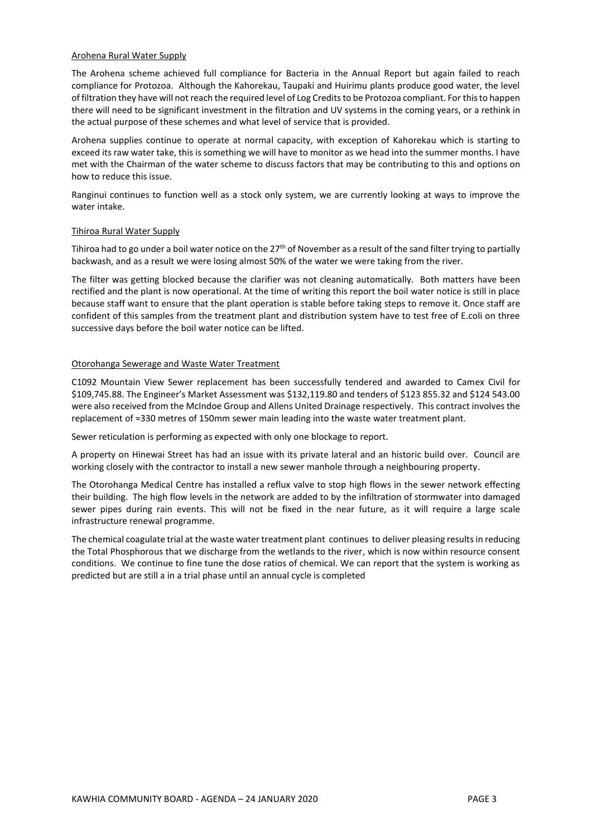#### Arohena Rural Water Supply

The Arohena scheme achieved full compliance for Bacteria in the Annual Report but again failed to reach compliance for Protozoa. Although the Kahorekau, Taupaki and Huirimu plants produce good water, the level of filtration they have will not reach the required level of Log Credits to be Protozoa compliant. For this to happen there will need to be significant investment in the filtration and UV systems in the coming years, or a rethink in the actual purpose of these schemes and what level of service that is provided.

Arohena supplies continue to operate at normal capacity, with exception of Kahorekau which is starting to exceed its raw water take, this is something we will have to monitor as we head into the summer months. I have met with the Chairman of the water scheme to discuss factors that may be contributing to this and options on how to reduce this issue.

Ranginui continues to function well as a stock only system, we are currently looking at ways to improve the water intake.

#### Tihiroa Rural Water Supply

Tihiroa had to go under a boil water notice on the 27<sup>th</sup> of November as a result of the sand filter trying to partially backwash, and as a result we were losing almost 50% of the water we were taking from the river.

The filter was getting blocked because the clarifier was not cleaning automatically. Both matters have been rectified and the plant is now operational. At the time of writing this report the boil water notice is still in place because staff want to ensure that the plant operation is stable before taking steps to remove it. Once staff are confident of this samples from the treatment plant and distribution system have to test free of E.coli on three successive days before the boil water notice can be lifted.

#### Otorohanga Sewerage and Waste Water Treatment

C1092 Mountain View Sewer replacement has been successfully tendered and awarded to Camex Civil for \$109,745.88. The Engineer's Market Assessment was \$132,119.80 and tenders of \$123 855.32 and \$124 543.00 were also received from the McIndoe Group and Allens United Drainage respectively. This contract involves the replacement of ≈330 metres of 150mm sewer main leading into the waste water treatment plant.

Sewer reticulation is performing as expected with only one blockage to report.

A property on Hinewai Street has had an issue with its private lateral and an historic build over. Council are working closely with the contractor to install a new sewer manhole through a neighbouring property.

The Otorohanga Medical Centre has installed a reflux valve to stop high flows in the sewer network effecting their building. The high flow levels in the network are added to by the infiltration of stormwater into damaged sewer pipes during rain events. This will not be fixed in the near future, as it will require a large scale infrastructure renewal programme.

The chemical coagulate trial at the waste water treatment plant continues to deliver pleasing results in reducing the Total Phosphorous that we discharge from the wetlands to the river, which is now within resource consent conditions. We continue to fine tune the dose ratios of chemical. We can report that the system is working as predicted but are still a in a trial phase until an annual cycle is completed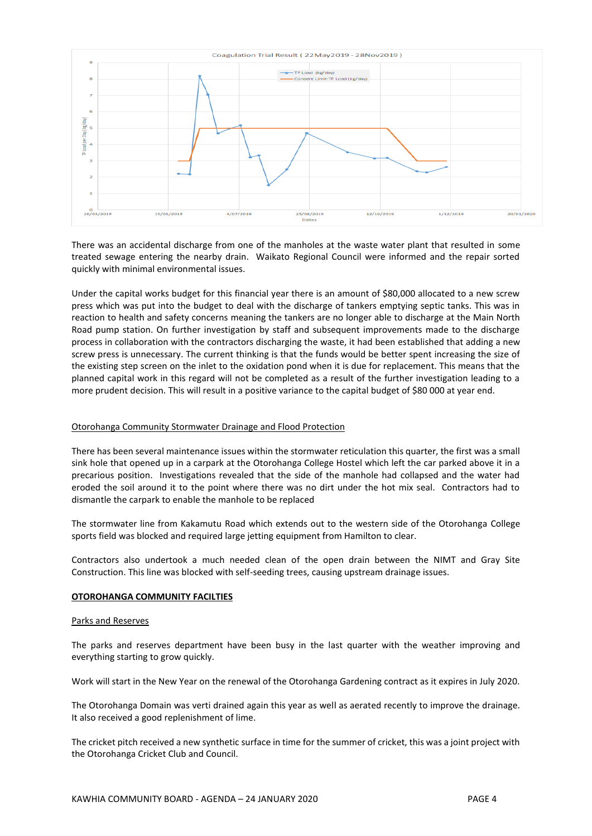

There was an accidental discharge from one of the manholes at the waste water plant that resulted in some treated sewage entering the nearby drain. Waikato Regional Council were informed and the repair sorted quickly with minimal environmental issues.

Under the capital works budget for this financial year there is an amount of \$80,000 allocated to a new screw press which was put into the budget to deal with the discharge of tankers emptying septic tanks. This was in reaction to health and safety concerns meaning the tankers are no longer able to discharge at the Main North Road pump station. On further investigation by staff and subsequent improvements made to the discharge process in collaboration with the contractors discharging the waste, it had been established that adding a new screw press is unnecessary. The current thinking is that the funds would be better spent increasing the size of the existing step screen on the inlet to the oxidation pond when it is due for replacement. This means that the planned capital work in this regard will not be completed as a result of the further investigation leading to a more prudent decision. This will result in a positive variance to the capital budget of \$80 000 at year end.

#### Otorohanga Community Stormwater Drainage and Flood Protection

There has been several maintenance issues within the stormwater reticulation this quarter, the first was a small sink hole that opened up in a carpark at the Otorohanga College Hostel which left the car parked above it in a precarious position. Investigations revealed that the side of the manhole had collapsed and the water had eroded the soil around it to the point where there was no dirt under the hot mix seal. Contractors had to dismantle the carpark to enable the manhole to be replaced

The stormwater line from Kakamutu Road which extends out to the western side of the Otorohanga College sports field was blocked and required large jetting equipment from Hamilton to clear.

Contractors also undertook a much needed clean of the open drain between the NIMT and Gray Site Construction. This line was blocked with self-seeding trees, causing upstream drainage issues.

#### **OTOROHANGA COMMUNITY FACILTIES**

#### Parks and Reserves

The parks and reserves department have been busy in the last quarter with the weather improving and everything starting to grow quickly.

Work will start in the New Year on the renewal of the Otorohanga Gardening contract as it expires in July 2020.

The Otorohanga Domain was verti drained again this year as well as aerated recently to improve the drainage. It also received a good replenishment of lime.

The cricket pitch received a new synthetic surface in time for the summer of cricket, this was a joint project with the Otorohanga Cricket Club and Council.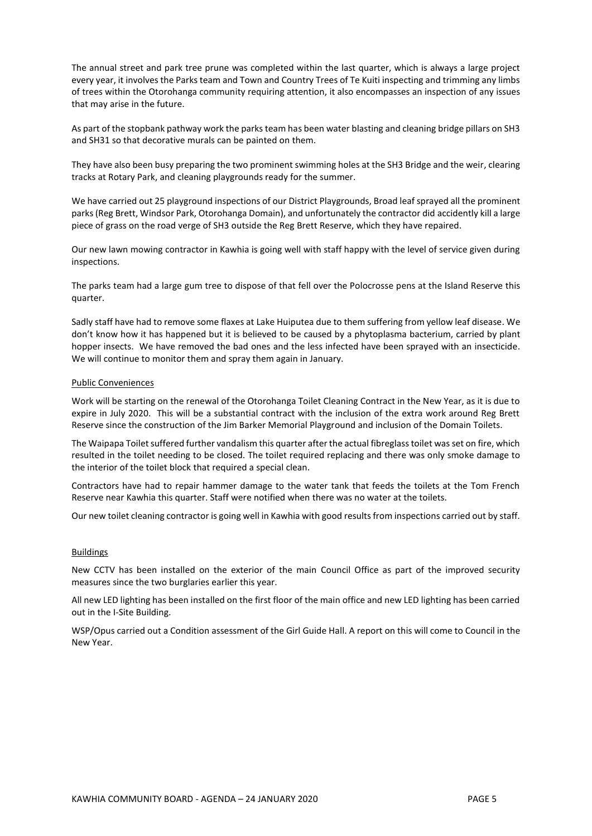The annual street and park tree prune was completed within the last quarter, which is always a large project every year, it involves the Parks team and Town and Country Trees of Te Kuiti inspecting and trimming any limbs of trees within the Otorohanga community requiring attention, it also encompasses an inspection of any issues that may arise in the future.

As part of the stopbank pathway work the parks team has been water blasting and cleaning bridge pillars on SH3 and SH31 so that decorative murals can be painted on them.

They have also been busy preparing the two prominent swimming holes at the SH3 Bridge and the weir, clearing tracks at Rotary Park, and cleaning playgrounds ready for the summer.

We have carried out 25 playground inspections of our District Playgrounds, Broad leaf sprayed all the prominent parks (Reg Brett, Windsor Park, Otorohanga Domain), and unfortunately the contractor did accidently kill a large piece of grass on the road verge of SH3 outside the Reg Brett Reserve, which they have repaired.

Our new lawn mowing contractor in Kawhia is going well with staff happy with the level of service given during inspections.

The parks team had a large gum tree to dispose of that fell over the Polocrosse pens at the Island Reserve this quarter.

Sadly staff have had to remove some flaxes at Lake Huiputea due to them suffering from yellow leaf disease. We don't know how it has happened but it is believed to be caused by a phytoplasma bacterium, carried by plant hopper insects. We have removed the bad ones and the less infected have been sprayed with an insecticide. We will continue to monitor them and spray them again in January.

#### Public Conveniences

Work will be starting on the renewal of the Otorohanga Toilet Cleaning Contract in the New Year, as it is due to expire in July 2020. This will be a substantial contract with the inclusion of the extra work around Reg Brett Reserve since the construction of the Jim Barker Memorial Playground and inclusion of the Domain Toilets.

The Waipapa Toilet suffered further vandalism this quarter after the actual fibreglass toilet was set on fire, which resulted in the toilet needing to be closed. The toilet required replacing and there was only smoke damage to the interior of the toilet block that required a special clean.

Contractors have had to repair hammer damage to the water tank that feeds the toilets at the Tom French Reserve near Kawhia this quarter. Staff were notified when there was no water at the toilets.

Our new toilet cleaning contractor is going well in Kawhia with good results from inspections carried out by staff.

#### Buildings

New CCTV has been installed on the exterior of the main Council Office as part of the improved security measures since the two burglaries earlier this year.

All new LED lighting has been installed on the first floor of the main office and new LED lighting has been carried out in the I-Site Building.

WSP/Opus carried out a Condition assessment of the Girl Guide Hall. A report on this will come to Council in the New Year.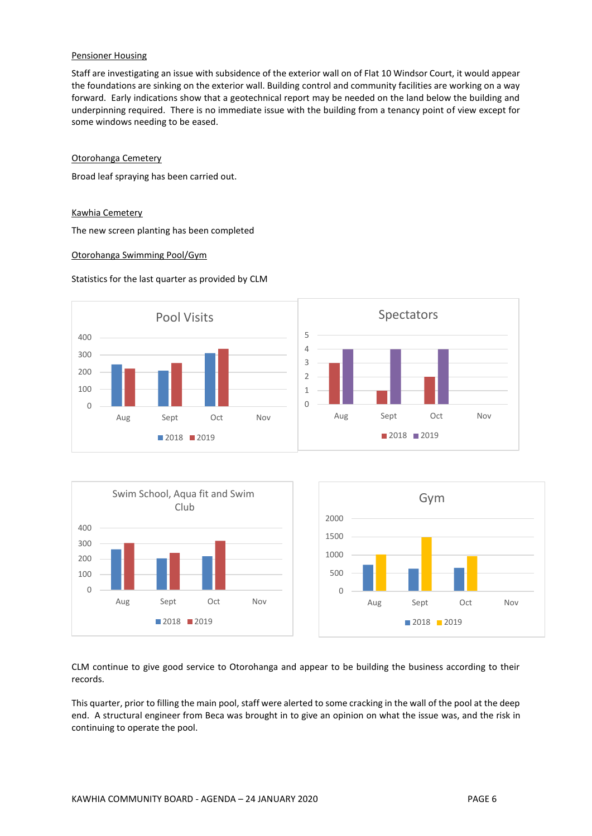#### Pensioner Housing

Staff are investigating an issue with subsidence of the exterior wall on of Flat 10 Windsor Court, it would appear the foundations are sinking on the exterior wall. Building control and community facilities are working on a way forward. Early indications show that a geotechnical report may be needed on the land below the building and underpinning required. There is no immediate issue with the building from a tenancy point of view except for some windows needing to be eased.

#### Otorohanga Cemetery

Broad leaf spraying has been carried out.

#### Kawhia Cemetery

The new screen planting has been completed

#### Otorohanga Swimming Pool/Gym

#### Statistics for the last quarter as provided by CLM





CLM continue to give good service to Otorohanga and appear to be building the business according to their records.

This quarter, prior to filling the main pool, staff were alerted to some cracking in the wall of the pool at the deep end. A structural engineer from Beca was brought in to give an opinion on what the issue was, and the risk in continuing to operate the pool.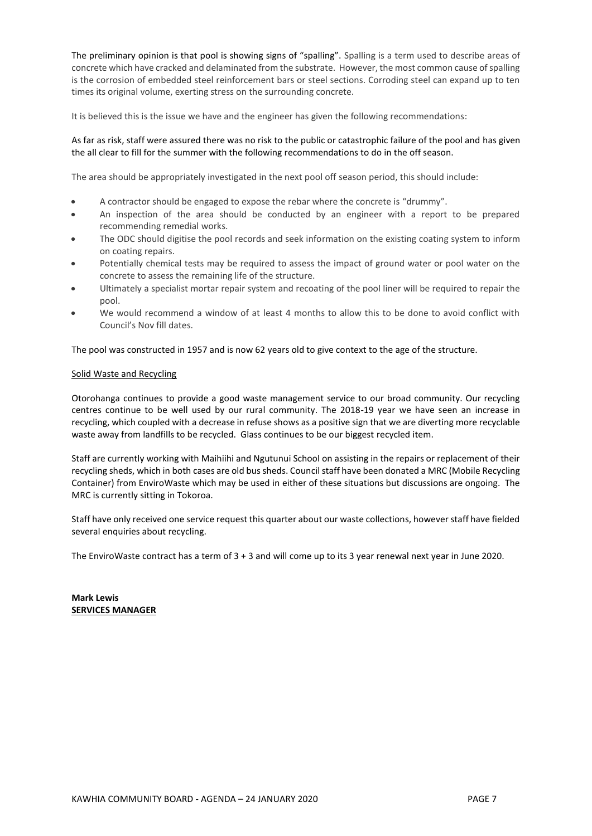The preliminary opinion is that pool is showing signs of "spalling". Spalling is a term used to describe areas of concrete which have cracked and delaminated from the substrate. However, the most common cause of spalling is the corrosion of embedded steel reinforcement bars or steel sections. Corroding steel can expand up to ten times its original volume, exerting stress on the surrounding concrete.

It is believed this is the issue we have and the engineer has given the following recommendations:

#### As far as risk, staff were assured there was no risk to the public or catastrophic failure of the pool and has given the all clear to fill for the summer with the following recommendations to do in the off season.

The area should be appropriately investigated in the next pool off season period, this should include:

- A contractor should be engaged to expose the rebar where the concrete is "drummy".
- An inspection of the area should be conducted by an engineer with a report to be prepared recommending remedial works.
- The ODC should digitise the pool records and seek information on the existing coating system to inform on coating repairs.
- Potentially chemical tests may be required to assess the impact of ground water or pool water on the concrete to assess the remaining life of the structure.
- Ultimately a specialist mortar repair system and recoating of the pool liner will be required to repair the pool.
- We would recommend a window of at least 4 months to allow this to be done to avoid conflict with Council's Nov fill dates.

The pool was constructed in 1957 and is now 62 years old to give context to the age of the structure.

#### Solid Waste and Recycling

Otorohanga continues to provide a good waste management service to our broad community. Our recycling centres continue to be well used by our rural community. The 2018-19 year we have seen an increase in recycling, which coupled with a decrease in refuse shows as a positive sign that we are diverting more recyclable waste away from landfills to be recycled. Glass continues to be our biggest recycled item.

Staff are currently working with Maihiihi and Ngutunui School on assisting in the repairs or replacement of their recycling sheds, which in both cases are old bus sheds. Council staff have been donated a MRC (Mobile Recycling Container) from EnviroWaste which may be used in either of these situations but discussions are ongoing. The MRC is currently sitting in Tokoroa.

Staff have only received one service request this quarter about our waste collections, however staff have fielded several enquiries about recycling.

The EnviroWaste contract has a term of 3 + 3 and will come up to its 3 year renewal next year in June 2020.

**Mark Lewis SERVICES MANAGER**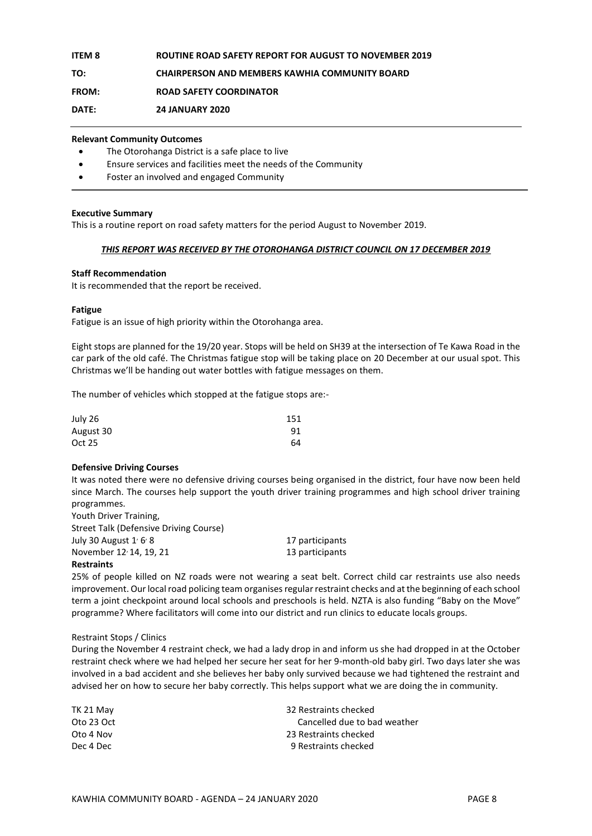#### **ITEM 8 ROUTINE ROAD SAFETY REPORT FOR AUGUST TO NOVEMBER 2019**

#### **TO: CHAIRPERSON AND MEMBERS KAWHIA COMMUNITY BOARD**

**FROM: ROAD SAFETY COORDINATOR**

**DATE: 24 JANUARY 2020**

#### **Relevant Community Outcomes**

- The Otorohanga District is a safe place to live
- Ensure services and facilities meet the needs of the Community
- Foster an involved and engaged Community

#### **Executive Summary**

This is a routine report on road safety matters for the period August to November 2019.

#### *THIS REPORT WAS RECEIVED BY THE OTOROHANGA DISTRICT COUNCIL ON 17 DECEMBER 2019*

#### **Staff Recommendation**

It is recommended that the report be received.

#### **Fatigue**

Fatigue is an issue of high priority within the Otorohanga area.

Eight stops are planned for the 19/20 year. Stops will be held on SH39 at the intersection of Te Kawa Road in the car park of the old café. The Christmas fatigue stop will be taking place on 20 December at our usual spot. This Christmas we'll be handing out water bottles with fatigue messages on them.

The number of vehicles which stopped at the fatigue stops are:-

| July 26   | 151 |
|-----------|-----|
| August 30 | 91  |
| Oct 25    | 64  |

#### **Defensive Driving Courses**

It was noted there were no defensive driving courses being organised in the district, four have now been held since March. The courses help support the youth driver training programmes and high school driver training programmes.

Youth Driver Training, Street Talk (Defensive Driving Course) July 30 August  $1/6/8$ November 12<sup>,</sup> 14, 19, 21 13 participants

17 participants

#### **Restraints**

25% of people killed on NZ roads were not wearing a seat belt. Correct child car restraints use also needs improvement. Our local road policing team organises regular restraint checks and at the beginning of each school term a joint checkpoint around local schools and preschools is held. NZTA is also funding "Baby on the Move" programme? Where facilitators will come into our district and run clinics to educate locals groups.

#### Restraint Stops / Clinics

During the November 4 restraint check, we had a lady drop in and inform us she had dropped in at the October restraint check where we had helped her secure her seat for her 9-month-old baby girl. Two days later she was involved in a bad accident and she believes her baby only survived because we had tightened the restraint and advised her on how to secure her baby correctly. This helps support what we are doing the in community.

| TK 21 May  | 32 Restraints checked        |
|------------|------------------------------|
| Oto 23 Oct | Cancelled due to bad weather |
| Oto 4 Nov  | 23 Restraints checked        |
| Dec 4 Dec  | 9 Restraints checked         |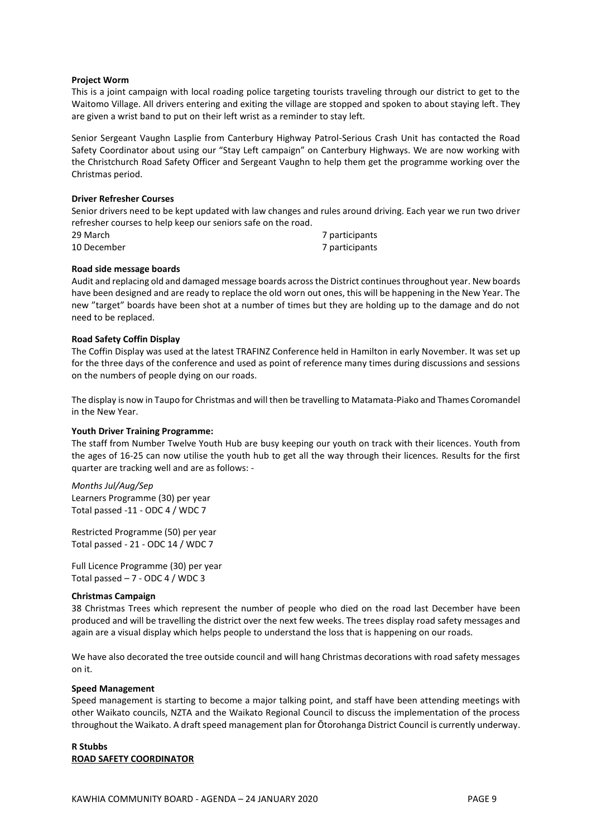#### **Project Worm**

This is a joint campaign with local roading police targeting tourists traveling through our district to get to the Waitomo Village. All drivers entering and exiting the village are stopped and spoken to about staying left. They are given a wrist band to put on their left wrist as a reminder to stay left.

Senior Sergeant Vaughn Lasplie from Canterbury Highway Patrol-Serious Crash Unit has contacted the Road Safety Coordinator about using our "Stay Left campaign" on Canterbury Highways. We are now working with the Christchurch Road Safety Officer and Sergeant Vaughn to help them get the programme working over the Christmas period.

#### **Driver Refresher Courses**

Senior drivers need to be kept updated with law changes and rules around driving. Each year we run two driver refresher courses to help keep our seniors safe on the road.

| 29 March    | 7 participants |
|-------------|----------------|
| 10 December | 7 participants |

#### **Road side message boards**

Audit and replacing old and damaged message boards across the District continues throughout year. New boards have been designed and are ready to replace the old worn out ones, this will be happening in the New Year. The new "target" boards have been shot at a number of times but they are holding up to the damage and do not need to be replaced.

#### **Road Safety Coffin Display**

The Coffin Display was used at the latest TRAFINZ Conference held in Hamilton in early November. It was set up for the three days of the conference and used as point of reference many times during discussions and sessions on the numbers of people dying on our roads.

The display is now in Taupo for Christmas and will then be travelling to Matamata-Piako and Thames Coromandel in the New Year.

#### **Youth Driver Training Programme:**

The staff from Number Twelve Youth Hub are busy keeping our youth on track with their licences. Youth from the ages of 16-25 can now utilise the youth hub to get all the way through their licences. Results for the first quarter are tracking well and are as follows: -

*Months Jul/Aug/Sep* Learners Programme (30) per year Total passed -11 - ODC 4 / WDC 7

Restricted Programme (50) per year Total passed - 21 - ODC 14 / WDC 7

Full Licence Programme (30) per year Total passed  $-7$  - ODC 4 / WDC 3

#### **Christmas Campaign**

38 Christmas Trees which represent the number of people who died on the road last December have been produced and will be travelling the district over the next few weeks. The trees display road safety messages and again are a visual display which helps people to understand the loss that is happening on our roads.

We have also decorated the tree outside council and will hang Christmas decorations with road safety messages on it.

#### **Speed Management**

Speed management is starting to become a major talking point, and staff have been attending meetings with other Waikato councils, NZTA and the Waikato Regional Council to discuss the implementation of the process throughout the Waikato. A draft speed management plan for Ōtorohanga District Council is currently underway.

#### **R Stubbs ROAD SAFETY COORDINATOR**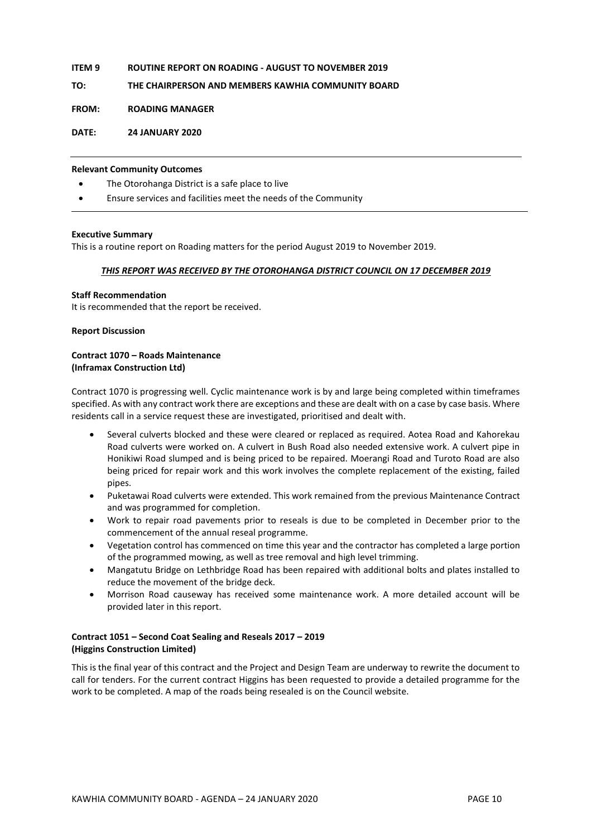#### **ITEM 9 ROUTINE REPORT ON ROADING - AUGUST TO NOVEMBER 2019**

**TO: THE CHAIRPERSON AND MEMBERS KAWHIA COMMUNITY BOARD**

**FROM: ROADING MANAGER**

#### **DATE: 24 JANUARY 2020**

#### **Relevant Community Outcomes**

- The Otorohanga District is a safe place to live
- Ensure services and facilities meet the needs of the Community

#### **Executive Summary**

This is a routine report on Roading matters for the period August 2019 to November 2019.

#### *THIS REPORT WAS RECEIVED BY THE OTOROHANGA DISTRICT COUNCIL ON 17 DECEMBER 2019*

#### **Staff Recommendation**

It is recommended that the report be received.

#### **Report Discussion**

#### **Contract 1070 – Roads Maintenance (Inframax Construction Ltd)**

Contract 1070 is progressing well. Cyclic maintenance work is by and large being completed within timeframes specified. As with any contract work there are exceptions and these are dealt with on a case by case basis. Where residents call in a service request these are investigated, prioritised and dealt with.

- Several culverts blocked and these were cleared or replaced as required. Aotea Road and Kahorekau Road culverts were worked on. A culvert in Bush Road also needed extensive work. A culvert pipe in Honikiwi Road slumped and is being priced to be repaired. Moerangi Road and Turoto Road are also being priced for repair work and this work involves the complete replacement of the existing, failed pipes.
- Puketawai Road culverts were extended. This work remained from the previous Maintenance Contract and was programmed for completion.
- Work to repair road pavements prior to reseals is due to be completed in December prior to the commencement of the annual reseal programme.
- Vegetation control has commenced on time this year and the contractor has completed a large portion of the programmed mowing, as well as tree removal and high level trimming.
- Mangatutu Bridge on Lethbridge Road has been repaired with additional bolts and plates installed to reduce the movement of the bridge deck.
- Morrison Road causeway has received some maintenance work. A more detailed account will be provided later in this report.

#### **Contract 1051 – Second Coat Sealing and Reseals 2017 – 2019 (Higgins Construction Limited)**

This is the final year of this contract and the Project and Design Team are underway to rewrite the document to call for tenders. For the current contract Higgins has been requested to provide a detailed programme for the work to be completed. A map of the roads being resealed is on the Council website.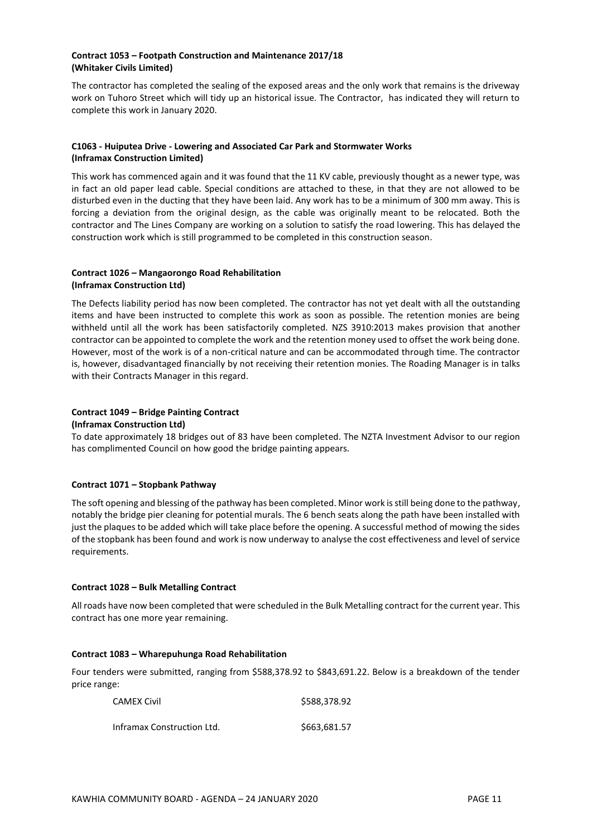#### **Contract 1053 – Footpath Construction and Maintenance 2017/18 (Whitaker Civils Limited)**

The contractor has completed the sealing of the exposed areas and the only work that remains is the driveway work on Tuhoro Street which will tidy up an historical issue. The Contractor, has indicated they will return to complete this work in January 2020.

#### **C1063 - Huiputea Drive - Lowering and Associated Car Park and Stormwater Works (Inframax Construction Limited)**

This work has commenced again and it was found that the 11 KV cable, previously thought as a newer type, was in fact an old paper lead cable. Special conditions are attached to these, in that they are not allowed to be disturbed even in the ducting that they have been laid. Any work has to be a minimum of 300 mm away. This is forcing a deviation from the original design, as the cable was originally meant to be relocated. Both the contractor and The Lines Company are working on a solution to satisfy the road lowering. This has delayed the construction work which is still programmed to be completed in this construction season.

#### **Contract 1026 – Mangaorongo Road Rehabilitation (Inframax Construction Ltd)**

The Defects liability period has now been completed. The contractor has not yet dealt with all the outstanding items and have been instructed to complete this work as soon as possible. The retention monies are being withheld until all the work has been satisfactorily completed. NZS 3910:2013 makes provision that another contractor can be appointed to complete the work and the retention money used to offset the work being done. However, most of the work is of a non-critical nature and can be accommodated through time. The contractor is, however, disadvantaged financially by not receiving their retention monies. The Roading Manager is in talks with their Contracts Manager in this regard.

#### **Contract 1049 – Bridge Painting Contract (Inframax Construction Ltd)**

To date approximately 18 bridges out of 83 have been completed. The NZTA Investment Advisor to our region has complimented Council on how good the bridge painting appears.

#### **Contract 1071 – Stopbank Pathway**

The soft opening and blessing of the pathway has been completed. Minor work is still being done to the pathway, notably the bridge pier cleaning for potential murals. The 6 bench seats along the path have been installed with just the plaques to be added which will take place before the opening. A successful method of mowing the sides of the stopbank has been found and work is now underway to analyse the cost effectiveness and level of service requirements.

#### **Contract 1028 – Bulk Metalling Contract**

All roads have now been completed that were scheduled in the Bulk Metalling contract for the current year. This contract has one more year remaining.

#### **Contract 1083 – Wharepuhunga Road Rehabilitation**

Four tenders were submitted, ranging from \$588,378.92 to \$843,691.22. Below is a breakdown of the tender price range:

| <b>CAMEX Civil</b>         | \$588,378.92 |
|----------------------------|--------------|
| Inframax Construction Ltd. | \$663,681.57 |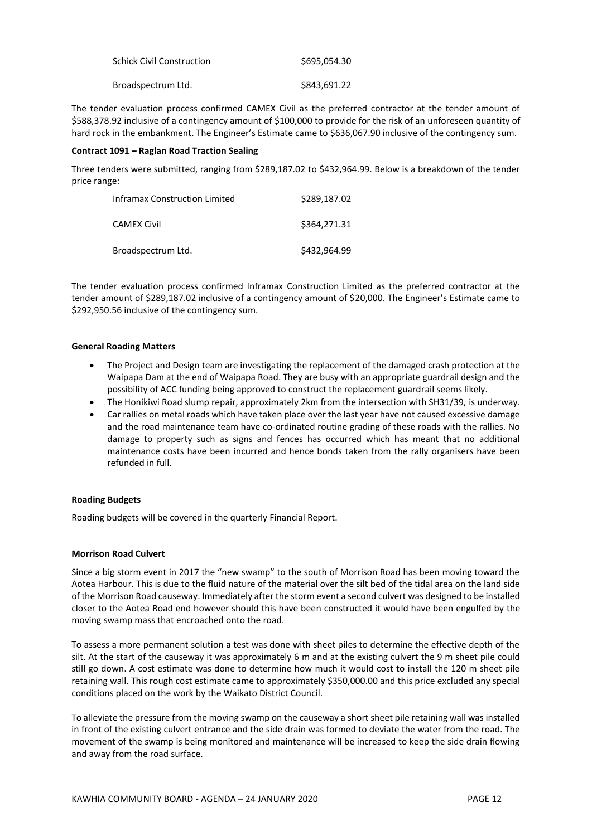| <b>Schick Civil Construction</b> | \$695.054.30 |
|----------------------------------|--------------|
| Broadspectrum Ltd.               | \$843,691.22 |

The tender evaluation process confirmed CAMEX Civil as the preferred contractor at the tender amount of \$588,378.92 inclusive of a contingency amount of \$100,000 to provide for the risk of an unforeseen quantity of hard rock in the embankment. The Engineer's Estimate came to \$636,067.90 inclusive of the contingency sum.

#### **Contract 1091 – Raglan Road Traction Sealing**

Three tenders were submitted, ranging from \$289,187.02 to \$432,964.99. Below is a breakdown of the tender price range:

| <b>Inframax Construction Limited</b> | \$289.187.02 |
|--------------------------------------|--------------|
| <b>CAMEX Civil</b>                   | \$364,271.31 |
| Broadspectrum Ltd.                   | \$432,964.99 |

The tender evaluation process confirmed Inframax Construction Limited as the preferred contractor at the tender amount of \$289,187.02 inclusive of a contingency amount of \$20,000. The Engineer's Estimate came to \$292,950.56 inclusive of the contingency sum.

#### **General Roading Matters**

- The Project and Design team are investigating the replacement of the damaged crash protection at the Waipapa Dam at the end of Waipapa Road. They are busy with an appropriate guardrail design and the possibility of ACC funding being approved to construct the replacement guardrail seems likely.
- The Honikiwi Road slump repair, approximately 2km from the intersection with SH31/39, is underway.
- Car rallies on metal roads which have taken place over the last year have not caused excessive damage and the road maintenance team have co-ordinated routine grading of these roads with the rallies. No damage to property such as signs and fences has occurred which has meant that no additional maintenance costs have been incurred and hence bonds taken from the rally organisers have been refunded in full.

#### **Roading Budgets**

Roading budgets will be covered in the quarterly Financial Report.

#### **Morrison Road Culvert**

Since a big storm event in 2017 the "new swamp" to the south of Morrison Road has been moving toward the Aotea Harbour. This is due to the fluid nature of the material over the silt bed of the tidal area on the land side of the Morrison Road causeway. Immediately after the storm event a second culvert was designed to be installed closer to the Aotea Road end however should this have been constructed it would have been engulfed by the moving swamp mass that encroached onto the road.

To assess a more permanent solution a test was done with sheet piles to determine the effective depth of the silt. At the start of the causeway it was approximately 6 m and at the existing culvert the 9 m sheet pile could still go down. A cost estimate was done to determine how much it would cost to install the 120 m sheet pile retaining wall. This rough cost estimate came to approximately \$350,000.00 and this price excluded any special conditions placed on the work by the Waikato District Council.

To alleviate the pressure from the moving swamp on the causeway a short sheet pile retaining wall was installed in front of the existing culvert entrance and the side drain was formed to deviate the water from the road. The movement of the swamp is being monitored and maintenance will be increased to keep the side drain flowing and away from the road surface.